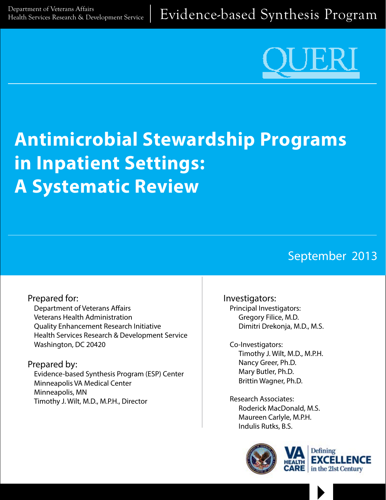

# **Antimicrobial Stewardship Programs in Inpatient Settings: A Systematic Review**

September 2013

## Prepared for: Department of Veterans Affairs Veterans Health Administration Quality Enhancement Research Initiative Health Services Research & Development Service Washington, DC 20420

Prepared by:

Evidence-based Synthesis Program (ESP) Center Minneapolis VA Medical Center Minneapolis, MN Timothy J. Wilt, M.D., M.P.H., Director

Investigators: Principal Investigators: Gregory Filice, M.D. Dimitri Drekonja, M.D., M.S.

Co-Investigators: Timothy J. Wilt, M.D., M.P.H. Nancy Greer, Ph.D. Mary Butler, Ph.D. Brittin Wagner, Ph.D.

Research Associates: Roderick MacDonald, M.S. Maureen Carlyle, M.P.H. Indulis Rutks, B.S.



 $\blacktriangleright$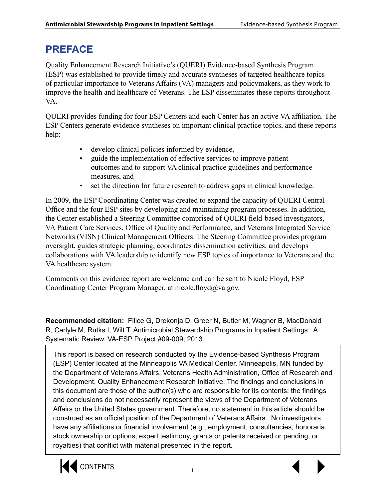# **PREFACE**

Quality Enhancement Research Initiative's (QUERI) Evidence-based Synthesis Program (ESP) was established to provide timely and accurate syntheses of targeted healthcare topics of particular importance to Veterans Affairs (VA) managers and policymakers, as they work to improve the health and healthcare of Veterans. The ESP disseminates these reports throughout VA.

QUERI provides funding for four ESP Centers and each Center has an active VA affiliation. The ESP Centers generate evidence syntheses on important clinical practice topics, and these reports help:

- develop clinical policies informed by evidence,
- guide the implementation of effective services to improve patient outcomes and to support VA clinical practice guidelines and performance measures, and
- set the direction for future research to address gaps in clinical knowledge.

In 2009, the ESP Coordinating Center was created to expand the capacity of QUERI Central Office and the four ESP sites by developing and maintaining program processes. In addition, the Center established a Steering Committee comprised of QUERI field-based investigators, VA Patient Care Services, Office of Quality and Performance, and Veterans Integrated Service Networks (VISN) Clinical Management Officers. The Steering Committee provides program oversight, guides strategic planning, coordinates dissemination activities, and develops collaborations with VA leadership to identify new ESP topics of importance to Veterans and the VA healthcare system.

Comments on this evidence report are welcome and can be sent to Nicole Floyd, ESP Coordinating Center Program Manager, a[t nicole.floyd@va.gov.](mailto:nicole.floyd@va.gov)

**Recommended citation:** Filice G, Drekonja D, Greer N, Butler M, Wagner B, MacDonald R, Carlyle M, Rutks I, Wilt T. Antimicrobial Stewardship Programs in Inpatient Settings: A Systematic Review. VA-ESP Project #09-009; 2013.

This report is based on research conducted by the Evidence-based Synthesis Program (ESP) Center located at the Minneapolis VA Medical Center, Minneapolis, MN funded by the Department of Veterans Affairs, Veterans Health Administration, Office of Research and Development, Quality Enhancement Research Initiative. The findings and conclusions in this document are those of the author(s) who are responsible for its contents; the findings and conclusions do not necessarily represent the views of the Department of Veterans Affairs or the United States government. Therefore, no statement in this article should be construed as an official position of the Department of Veterans Affairs. No investigators have any affiliations or financial involvement (e.g., employment, consultancies, honoraria, stock ownership or options, expert testimony, grants or patents received or pending, or royalties) that conflict with material presented in the report.



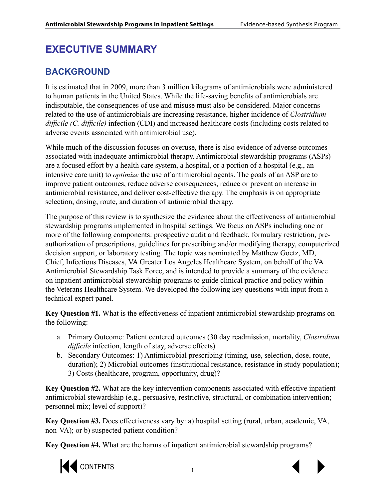# **EXECUTIVE SUMMARY**

# **BACKGROUND**

It is estimated that in 2009, more than 3 million kilograms of antimicrobials were administered to human patients in the United States. While the life-saving benefits of antimicrobials are indisputable, the consequences of use and misuse must also be considered. Major concerns related to the use of antimicrobials are increasing resistance, higher incidence of *Clostridium difficile (C. difficile)* infection (CDI) and increased healthcare costs (including costs related to adverse events associated with antimicrobial use).

While much of the discussion focuses on overuse, there is also evidence of adverse outcomes associated with inadequate antimicrobial therapy. Antimicrobial stewardship programs (ASPs) are a focused effort by a health care system, a hospital, or a portion of a hospital (e.g., an intensive care unit) to *optimize* the use of antimicrobial agents. The goals of an ASP are to improve patient outcomes, reduce adverse consequences, reduce or prevent an increase in antimicrobial resistance, and deliver cost-effective therapy. The emphasis is on appropriate selection, dosing, route, and duration of antimicrobial therapy.

The purpose of this review is to synthesize the evidence about the effectiveness of antimicrobial stewardship programs implemented in hospital settings. We focus on ASPs including one or more of the following components: prospective audit and feedback, formulary restriction, preauthorization of prescriptions, guidelines for prescribing and/or modifying therapy, computerized decision support, or laboratory testing. The topic was nominated by Matthew Goetz, MD, Chief, Infectious Diseases, VA Greater Los Angeles Healthcare System, on behalf of the VA Antimicrobial Stewardship Task Force, and is intended to provide a summary of the evidence on inpatient antimicrobial stewardship programs to guide clinical practice and policy within the Veterans Healthcare System. We developed the following key questions with input from a technical expert panel.

**Key Question #1.** What is the effectiveness of inpatient antimicrobial stewardship programs on the following:

- a. Primary Outcome: Patient centered outcomes (30 day readmission, mortality, *Clostridium difficile* infection, length of stay, adverse effects)
- b. Secondary Outcomes: 1) Antimicrobial prescribing (timing, use, selection, dose, route, duration); 2) Microbial outcomes (institutional resistance, resistance in study population); 3) Costs (healthcare, program, opportunity, drug)?

**Key Question #2.** What are the key intervention components associated with effective inpatient antimicrobial stewardship (e.g., persuasive, restrictive, structural, or combination intervention; personnel mix; level of support)?

**Key Question #3.** Does effectiveness vary by: a) hospital setting (rural, urban, academic, VA, non-VA); or b) suspected patient condition?

**Key Question #4.** What are the harms of inpatient antimicrobial stewardship programs?



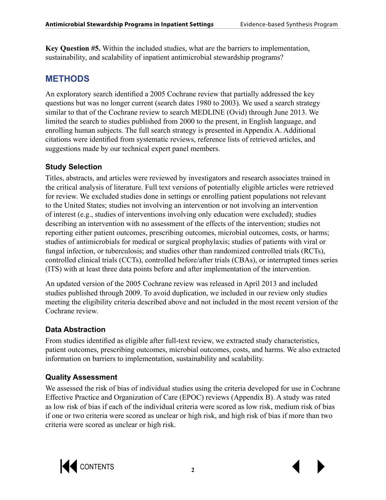**Key Question #5.** Within the included studies, what are the barriers to implementation, sustainability, and scalability of inpatient antimicrobial stewardship programs?

# **METHODS**

An exploratory search identified a 2005 Cochrane review that partially addressed the key questions but was no longer current (search dates 1980 to 2003). We used a search strategy similar to that of the Cochrane review to search MEDLINE (Ovid) through June 2013. We limited the search to studies published from 2000 to the present, in English language, and enrolling human subjects. The full search strategy is presented in Appendix A. Additional citations were identified from systematic reviews, reference lists of retrieved articles, and suggestions made by our technical expert panel members.

#### **Study Selection**

Titles, abstracts, and articles were reviewed by investigators and research associates trained in the critical analysis of literature. Full text versions of potentially eligible articles were retrieved for review. We excluded studies done in settings or enrolling patient populations not relevant to the United States; studies not involving an intervention or not involving an intervention of interest (e.g., studies of interventions involving only education were excluded); studies describing an intervention with no assessment of the effects of the intervention; studies not reporting either patient outcomes, prescribing outcomes, microbial outcomes, costs, or harms; studies of antimicrobials for medical or surgical prophylaxis; studies of patients with viral or fungal infection, or tuberculosis; and studies other than randomized controlled trials (RCTs), controlled clinical trials (CCTs), controlled before/after trials (CBAs), or interrupted times series (ITS) with at least three data points before and after implementation of the intervention.

An updated version of the 2005 Cochrane review was released in April 2013 and included studies published through 2009. To avoid duplication, we included in our review only studies meeting the eligibility criteria described above and not included in the most recent version of the Cochrane review.

#### **Data Abstraction**

From studies identified as eligible after full-text review, we extracted study characteristics, patient outcomes, prescribing outcomes, microbial outcomes, costs, and harms. We also extracted information on barriers to implementation, sustainability and scalability.

#### **Quality Assessment**

We assessed the risk of bias of individual studies using the criteria developed for use in Cochrane Effective Practice and Organization of Care (EPOC) reviews (Appendix B). A study was rated as low risk of bias if each of the individual criteria were scored as low risk, medium risk of bias if one or two criteria were scored as unclear or high risk, and high risk of bias if more than two criteria were scored as unclear or high risk.



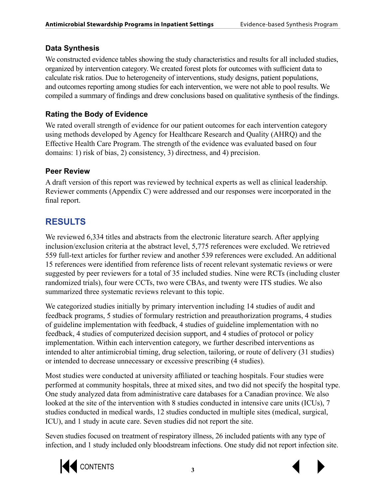### **Data Synthesis**

We constructed evidence tables showing the study characteristics and results for all included studies, organized by intervention category. We created forest plots for outcomes with sufficient data to calculate risk ratios. Due to heterogeneity of interventions, study designs, patient populations, and outcomes reporting among studies for each intervention, we were not able to pool results. We compiled a summary of findings and drew conclusions based on qualitative synthesis of the findings.

# **Rating the Body of Evidence**

We rated overall strength of evidence for our patient outcomes for each intervention category using methods developed by Agency for Healthcare Research and Quality (AHRQ) and the Effective Health Care Program. The strength of the evidence was evaluated based on four domains: 1) risk of bias, 2) consistency, 3) directness, and 4) precision.

# **Peer Review**

A draft version of this report was reviewed by technical experts as well as clinical leadership. Reviewer comments (Appendix C) were addressed and our responses were incorporated in the final report.

# **RESULTS**

We reviewed 6,334 titles and abstracts from the electronic literature search. After applying inclusion/exclusion criteria at the abstract level, 5,775 references were excluded. We retrieved 559 full-text articles for further review and another 539 references were excluded. An additional 15 references were identified from reference lists of recent relevant systematic reviews or were suggested by peer reviewers for a total of 35 included studies. Nine were RCTs (including cluster randomized trials), four were CCTs, two were CBAs, and twenty were ITS studies. We also summarized three systematic reviews relevant to this topic.

We categorized studies initially by primary intervention including 14 studies of audit and feedback programs, 5 studies of formulary restriction and preauthorization programs, 4 studies of guideline implementation with feedback, 4 studies of guideline implementation with no feedback, 4 studies of computerized decision support, and 4 studies of protocol or policy implementation. Within each intervention category, we further described interventions as intended to alter antimicrobial timing, drug selection, tailoring, or route of delivery (31 studies) or intended to decrease unnecessary or excessive prescribing (4 studies).

Most studies were conducted at university affiliated or teaching hospitals. Four studies were performed at community hospitals, three at mixed sites, and two did not specify the hospital type. One study analyzed data from administrative care databases for a Canadian province. We also looked at the site of the intervention with 8 studies conducted in intensive care units (ICUs), 7 studies conducted in medical wards, 12 studies conducted in multiple sites (medical, surgical, ICU), and 1 study in acute care. Seven studies did not report the site.

Seven studies focused on treatment of respiratory illness, 26 included patients with any type of infection, and 1 study included only bloodstream infections. One study did not report infection site.



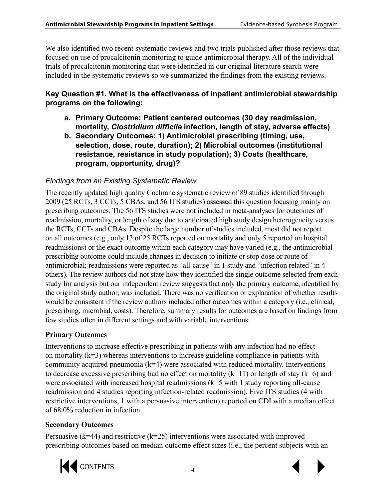We also identified two recent systematic reviews and two trials published after those reviews that focused on use of procalcitonin monitoring to guide antimicrobial therapy. All of the individual trials of procalcitonin monitoring that were identified in our original literature search were included in the systematic reviews so we summarized the findings from the existing reviews.

#### **Key Question #1. What is the effectiveness of inpatient antimicrobial stewardship programs on the following:**

- **a. Primary Outcome: Patient centered outcomes (30 day readmission, mortality,** *Clostridium difficile* **infection, length of stay, adverse effects)**
- **b. Secondary Outcomes: 1) Antimicrobial prescribing (timing, use, selection, dose, route, duration); 2) Microbial outcomes (institutional resistance, resistance in study population); 3) Costs (healthcare, program, opportunity, drug)?**

# *Findings from an Existing Systematic Review*

The recently updated high quality Cochrane systematic review of 89 studies identified through 2009 (25 RCTs, 3 CCTs, 5 CBAs, and 56 ITS studies) assessed this question focusing mainly on prescribing outcomes. The 56 ITS studies were not included in meta-analyses for outcomes of readmission, mortality, or length of stay due to anticipated high study design heterogeneity versus the RCTs, CCTs and CBAs. Despite the large number of studies included, most did not report on all outcomes (e.g., only 13 of 25 RCTs reported on mortality and only 5 reported on hospital readmissions) or the exact outcome within each category may have varied (e.g., the antimicrobial prescribing outcome could include changes in decision to initiate or stop dose or route of antimicrobial; readmissions were reported as "all-cause" in 1 study and "infection related" in 4 others). The review authors did not state how they identified the single outcome selected from each study for analysis but our independent review suggests that only the primary outcome, identified by the original study author, was included. There was no verification or explanation of whether results would be consistent if the review authors included other outcomes within a category (i.e., clinical, prescribing, microbial, costs). Therefore, summary results for outcomes are based on findings from few studies often in different settings and with variable interventions.

# **Primary Outcomes**

Interventions to increase effective prescribing in patients with any infection had no effect on mortality (k=3) whereas interventions to increase guideline compliance in patients with community acquired pneumonia (k=4) were associated with reduced mortality. Interventions to decrease excessive prescribing had no effect on mortality  $(k=11)$  or length of stay  $(k=6)$  and were associated with increased hospital readmissions (k=5 with 1 study reporting all-cause readmission and 4 studies reporting infection-related readmission). Five ITS studies (4 with restrictive interventions, 1 with a persuasive intervention) reported on CDI with a median effect of 68.0% reduction in infection.

# **Secondary Outcomes**

Persuasive ( $k=44$ ) and restrictive ( $k=25$ ) interventions were associated with improved prescribing outcomes based on median outcome effect sizes (i.e., the percent subjects with an



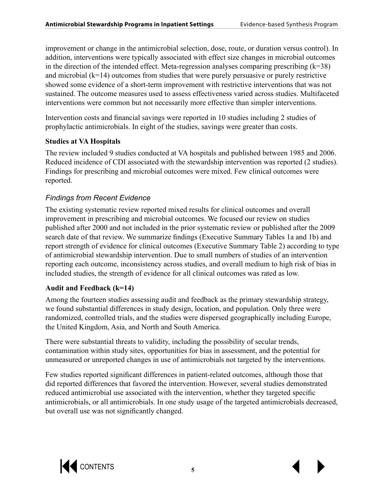improvement or change in the antimicrobial selection, dose, route, or duration versus control). In addition, interventions were typically associated with effect size changes in microbial outcomes in the direction of the intended effect. Meta-regression analyses comparing prescribing  $(k=38)$ and microbial  $(k=14)$  outcomes from studies that were purely persuasive or purely restrictive showed some evidence of a short-term improvement with restrictive interventions that was not sustained. The outcome measures used to assess effectiveness varied across studies. Multifaceted interventions were common but not necessarily more effective than simpler interventions.

Intervention costs and financial savings were reported in 10 studies including 2 studies of prophylactic antimicrobials. In eight of the studies, savings were greater than costs.

#### **Studies at VA Hospitals**

The review included 9 studies conducted at VA hospitals and published between 1985 and 2006. Reduced incidence of CDI associated with the stewardship intervention was reported (2 studies). Findings for prescribing and microbial outcomes were mixed. Few clinical outcomes were reported.

#### *Findings from Recent Evidence*

The existing systematic review reported mixed results for clinical outcomes and overall improvement in prescribing and microbial outcomes. We focused our review on studies published after 2000 and not included in the prior systematic review or published after the 2009 search date of that review. We summarize findings (Executive Summary Tables 1a and 1b) and report strength of evidence for clinical outcomes (Executive Summary Table 2) according to type of antimicrobial stewardship intervention. Due to small numbers of studies of an intervention reporting each outcome, inconsistency across studies, and overall medium to high risk of bias in included studies, the strength of evidence for all clinical outcomes was rated as low.

#### **Audit and Feedback (k=14)**

Among the fourteen studies assessing audit and feedback as the primary stewardship strategy, we found substantial differences in study design, location, and population. Only three were randomized, controlled trials, and the studies were dispersed geographically including Europe, the United Kingdom, Asia, and North and South America.

There were substantial threats to validity, including the possibility of secular trends, contamination within study sites, opportunities for bias in assessment, and the potential for unmeasured or unreported changes in use of antimicrobials not targeted by the interventions.

Few studies reported significant differences in patient-related outcomes, although those that did reported differences that favored the intervention. However, several studies demonstrated reduced antimicrobial use associated with the intervention, whether they targeted specific antimicrobials, or all antimicrobials. In one study usage of the targeted antimicrobials decreased, but overall use was not significantly changed.

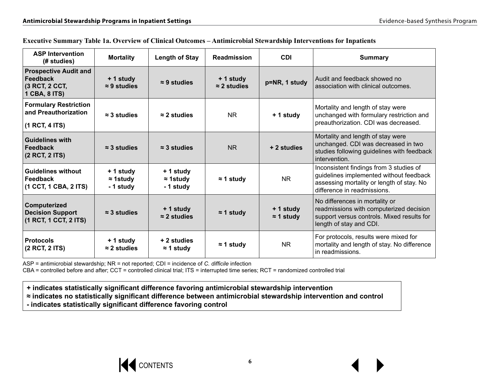| <b>ASP Intervention</b><br>(# studies)                                        | <b>Mortality</b>                           | <b>Length of Stay</b>                      | <b>Readmission</b>               | <b>CDI</b>                     | <b>Summary</b>                                                                                                                                                 |
|-------------------------------------------------------------------------------|--------------------------------------------|--------------------------------------------|----------------------------------|--------------------------------|----------------------------------------------------------------------------------------------------------------------------------------------------------------|
| <b>Prospective Audit and</b><br>Feedback<br>$(3$ RCT, 2 CCT,<br>1 CBA, 8 ITS) | + 1 study<br>$\approx$ 9 studies           | $\approx$ 9 studies                        | + 1 study<br>$\approx$ 2 studies | p=NR, 1 study                  | Audit and feedback showed no<br>association with clinical outcomes.                                                                                            |
| <b>Formulary Restriction</b><br>and Preauthorization<br>(1 RCT, 4 ITS)        | $\approx$ 3 studies                        | $\approx$ 2 studies                        | NR.                              | + 1 study                      | Mortality and length of stay were<br>unchanged with formulary restriction and<br>preauthorization. CDI was decreased.                                          |
| Guidelines with<br><b>Feedback</b><br>$(2$ RCT, 2 ITS)                        | $\approx$ 3 studies                        | $\approx$ 3 studies                        | <b>NR</b>                        | + 2 studies                    | Mortality and length of stay were<br>unchanged. CDI was decreased in two<br>studies following guidelines with feedback<br>intervention.                        |
| <b>Guidelines without</b><br>Feedback<br>(1 CCT, 1 CBA, 2 ITS)                | + 1 study<br>$\approx$ 1study<br>- 1 study | + 1 study<br>$\approx$ 1study<br>- 1 study | $\approx$ 1 study                | <b>NR</b>                      | Inconsistent findings from 3 studies of<br>guidelines implemented without feedback<br>assessing mortality or length of stay. No<br>difference in readmissions. |
| <b>Computerized</b><br><b>Decision Support</b><br>(1 RCT, 1 CCT, 2 ITS)       | $\approx$ 3 studies                        | + 1 study<br>$\approx$ 2 studies           | $\approx$ 1 study                | + 1 study<br>$\approx$ 1 study | No differences in mortality or<br>readmissions with computerized decision<br>support versus controls. Mixed results for<br>length of stay and CDI.             |
| <b>Protocols</b><br>$(2$ RCT, $2$ ITS)                                        | + 1 study<br>$\approx$ 2 studies           | + 2 studies<br>$\approx$ 1 study           | $\approx$ 1 study                | <b>NR</b>                      | For protocols, results were mixed for<br>mortality and length of stay. No difference<br>in readmissions.                                                       |

**Executive Summary Table 1a. Overview of Clinical Outcomes – Antimicrobial Stewardship Interventions for Inpatients** 

ASP = antimicrobial stewardship; NR = not reported; CDI = incidence of *C. difficile* infection

CBA = controlled before and after; CCT = controlled clinical trial; ITS = interrupted time series; RCT = randomized controlled trial

**+ indicates statistically significant difference favoring antimicrobial stewardship intervention**

**≈ indicates no statistically significant difference between antimicrobial stewardship intervention and control**

**- indicates statistically significant difference favoring control**

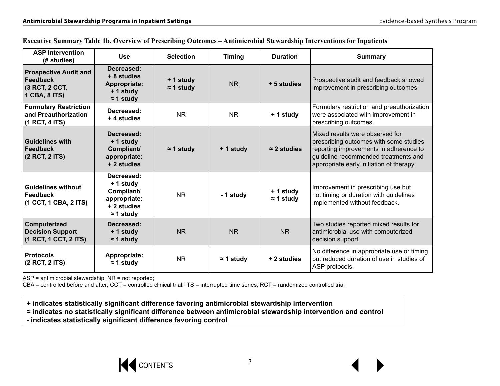| <b>ASP Intervention</b><br>(# studies)                                      | <b>Use</b>                                                                                | <b>Selection</b>               | <b>Timing</b>     | <b>Duration</b>                | <b>Summary</b>                                                                                                                                                                                          |
|-----------------------------------------------------------------------------|-------------------------------------------------------------------------------------------|--------------------------------|-------------------|--------------------------------|---------------------------------------------------------------------------------------------------------------------------------------------------------------------------------------------------------|
| <b>Prospective Audit and</b><br>Feedback<br>(3 RCT, 2 CCT,<br>1 CBA, 8 ITS) | Decreased:<br>+ 8 studies<br><b>Appropriate:</b><br>+ 1 study<br>$\approx$ 1 study        | + 1 study<br>$\approx$ 1 study | <b>NR</b>         | +5 studies                     | Prospective audit and feedback showed<br>improvement in prescribing outcomes                                                                                                                            |
| <b>Formulary Restriction</b><br>and Preauthorization<br>(1 RCT, 4 ITS)      | Decreased:<br>+4 studies                                                                  | <b>NR</b>                      | NR.               | + 1 study                      | Formulary restriction and preauthorization<br>were associated with improvement in<br>prescribing outcomes.                                                                                              |
| <b>Guidelines with</b><br>Feedback<br>(2 RCT, 2 ITS)                        | Decreased:<br>+ 1 study<br>Compliant/<br>appropriate:<br>+ 2 studies                      | $\approx$ 1 study              | + 1 study         | $\approx$ 2 studies            | Mixed results were observed for<br>prescribing outcomes with some studies<br>reporting improvements in adherence to<br>guideline recommended treatments and<br>appropriate early initiation of therapy. |
| <b>Guidelines without</b><br>Feedback<br>(1 CCT, 1 CBA, 2 ITS)              | Decreased:<br>+ 1 study<br>Compliant/<br>appropriate:<br>+ 2 studies<br>$\approx$ 1 study | <b>NR</b>                      | - 1 study         | + 1 study<br>$\approx$ 1 study | Improvement in prescribing use but<br>not timing or duration with guidelines<br>implemented without feedback.                                                                                           |
| Computerized<br><b>Decision Support</b><br>(1 RCT, 1 CCT, 2 ITS)            | Decreased:<br>+ 1 study<br>$\approx$ 1 study                                              | <b>NR</b>                      | <b>NR</b>         | N <sub>R</sub>                 | Two studies reported mixed results for<br>antimicrobial use with computerized<br>decision support.                                                                                                      |
| <b>Protocols</b><br>$(2$ RCT, $2$ ITS)                                      | Appropriate:<br>$\approx$ 1 study                                                         | <b>NR</b>                      | $\approx$ 1 study | + 2 studies                    | No difference in appropriate use or timing<br>but reduced duration of use in studies of<br>ASP protocols.                                                                                               |

**Executive Summary Table 1b. Overview of Prescribing Outcomes – Antimicrobial Stewardship Interventions for Inpatients** 

ASP = antimicrobial stewardship; NR = not reported;

CBA = controlled before and after; CCT = controlled clinical trial; ITS = interrupted time series; RCT = randomized controlled trial

**+ indicates statistically significant difference favoring antimicrobial stewardship intervention**

**≈ indicates no statistically significant difference between antimicrobial stewardship intervention and control**

**7**

**- indicates statistically significant difference favoring control**

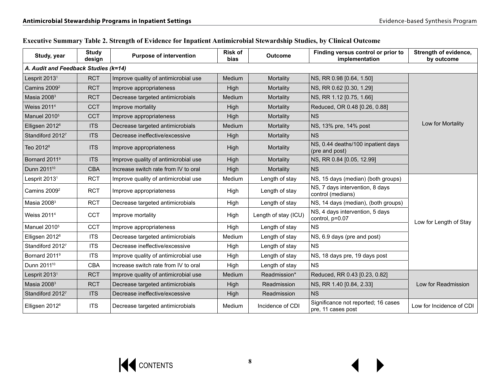| Study, year                          | <b>Study</b><br>design | <b>Purpose of intervention</b>       | <b>Risk of</b><br>bias | <b>Outcome</b>       | Finding versus control or prior to<br>implementation      | Strength of evidence,<br>by outcome |  |
|--------------------------------------|------------------------|--------------------------------------|------------------------|----------------------|-----------------------------------------------------------|-------------------------------------|--|
| A. Audit and Feedback Studies (k=14) |                        |                                      |                        |                      |                                                           |                                     |  |
| Lesprit 2013 <sup>1</sup>            | <b>RCT</b>             | Improve quality of antimicrobial use | <b>Medium</b>          | Mortality            | NS, RR 0.98 [0.64, 1.50]                                  |                                     |  |
| Camins 2009 <sup>2</sup>             | <b>RCT</b>             | Improve appropriateness              | High                   | Mortality            | NS, RR 0.62 [0.30, 1.29]                                  |                                     |  |
| Masia 2008 <sup>3</sup>              | <b>RCT</b>             | Decrease targeted antimicrobials     | <b>Medium</b>          | Mortality            | NS, RR 1.12 [0.75, 1.66]                                  |                                     |  |
| Weiss 2011 <sup>4</sup>              | <b>CCT</b>             | Improve mortality                    | High                   | Mortality            | Reduced, OR 0.48 [0.26, 0.88]                             |                                     |  |
| Manuel 2010 <sup>5</sup>             | CCT                    | Improve appropriateness              | High                   | Mortality            | <b>NS</b>                                                 |                                     |  |
| Elligsen 2012 <sup>6</sup>           | <b>ITS</b>             | Decrease targeted antimicrobials     | Medium                 | Mortality            | NS, 13% pre, 14% post                                     | Low for Mortality                   |  |
| Standiford 20127                     | <b>ITS</b>             | Decrease ineffective/excessive       | High                   | Mortality            | <b>NS</b>                                                 |                                     |  |
| Teo 2012 <sup>8</sup>                | <b>ITS</b>             | Improve appropriateness              | High                   | Mortality            | NS, 0.44 deaths/100 inpatient days<br>(pre and post)      |                                     |  |
| Bornard 2011 <sup>9</sup>            | <b>ITS</b>             | Improve quality of antimicrobial use | High                   | Mortality            | NS, RR 0.84 [0.05, 12.99]                                 |                                     |  |
| Dunn 2011 <sup>10</sup>              | <b>CBA</b>             | Increase switch rate from IV to oral | High                   | Mortality            | <b>NS</b>                                                 |                                     |  |
| Lesprit 2013 <sup>1</sup>            | <b>RCT</b>             | Improve quality of antimicrobial use | Medium                 | Length of stay       | NS, 15 days (median) (both groups)                        |                                     |  |
| Camins 2009 <sup>2</sup>             | <b>RCT</b>             | Improve appropriateness              | High                   | Length of stay       | NS, 7 days intervention, 8 days<br>control (medians)      |                                     |  |
| Masia 2008 <sup>3</sup>              | <b>RCT</b>             | Decrease targeted antimicrobials     | High                   | Length of stay       | NS, 14 days (median), (both groups)                       |                                     |  |
| Weiss 2011 <sup>4</sup>              | <b>CCT</b>             | Improve mortality                    | High                   | Length of stay (ICU) | NS, 4 days intervention, 5 days<br>control, p=0.07        | Low for Length of Stay              |  |
| Manuel 2010 <sup>5</sup>             | CCT                    | Improve appropriateness              | High                   | Length of stay       | <b>NS</b>                                                 |                                     |  |
| Elligsen 2012 <sup>6</sup>           | <b>ITS</b>             | Decrease targeted antimicrobials     | Medium                 | Length of stay       | NS, 6.9 days (pre and post)                               |                                     |  |
| Standiford 20127                     | <b>ITS</b>             | Decrease ineffective/excessive       | High                   | Length of stay       | <b>NS</b>                                                 |                                     |  |
| Bornard 2011 <sup>9</sup>            | <b>ITS</b>             | Improve quality of antimicrobial use | High                   | Length of stay       | NS, 18 days pre, 19 days post                             |                                     |  |
| Dunn 2011 <sup>10</sup>              | <b>CBA</b>             | Increase switch rate from IV to oral | High                   | Length of stay       | <b>NS</b>                                                 |                                     |  |
| Lesprit 2013 <sup>1</sup>            | <b>RCT</b>             | Improve quality of antimicrobial use | Medium                 | Readmission*         | Reduced, RR 0.43 [0.23, 0.82]                             |                                     |  |
| Masia 2008 <sup>3</sup>              | <b>RCT</b>             | Decrease targeted antimicrobials     | High                   | Readmission          | NS, RR 1.40 [0.84, 2.33]                                  | Low for Readmission                 |  |
| Standiford 2012 <sup>7</sup>         | <b>ITS</b>             | Decrease ineffective/excessive       | High                   | Readmission          | <b>NS</b>                                                 |                                     |  |
| Elligsen 2012 <sup>6</sup>           | <b>ITS</b>             | Decrease targeted antimicrobials     | Medium                 | Incidence of CDI     | Significance not reported; 16 cases<br>pre, 11 cases post | Low for Incidence of CDI            |  |

#### **Executive Summary Table 2. Strength of Evidence for Inpatient Antimicrobial Stewardship Studies, by Clinical Outcome**

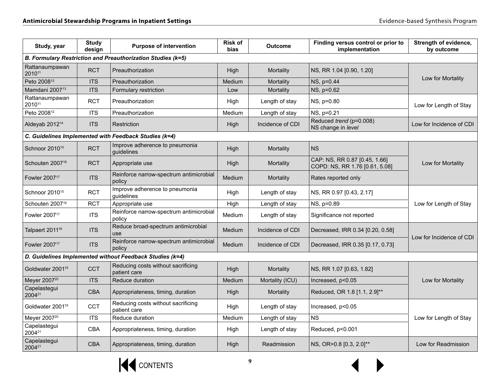| Study, year                                                 | <b>Study</b><br>design | <b>Purpose of intervention</b>                        | <b>Risk of</b><br>bias | <b>Outcome</b>   | Finding versus control or prior to<br>implementation            | Strength of evidence,<br>by outcome |  |
|-------------------------------------------------------------|------------------------|-------------------------------------------------------|------------------------|------------------|-----------------------------------------------------------------|-------------------------------------|--|
| B. Formulary Restriction and Preauthorization Studies (k=5) |                        |                                                       |                        |                  |                                                                 |                                     |  |
| Rattanaumpawan<br>201011                                    | <b>RCT</b>             | Preauthorization                                      | High                   | Mortality        | NS, RR 1.04 [0.90, 1.20]                                        |                                     |  |
| Peto 2008 <sup>12</sup>                                     | <b>ITS</b>             | Preauthorization                                      | Medium                 | Mortality        | NS, p=0.44                                                      | Low for Mortality                   |  |
| Mamdani 2007 <sup>13</sup>                                  | <b>ITS</b>             | Formulary restriction                                 | Low                    | Mortality        | NS, p=0.62                                                      |                                     |  |
| Rattanaumpawan<br>201011                                    | <b>RCT</b>             | Preauthorization                                      | High                   | Length of stay   | NS, p=0.80                                                      | Low for Length of Stay              |  |
| Peto 2008 <sup>12</sup>                                     | <b>ITS</b>             | Preauthorization                                      | Medium                 | Length of stay   | NS, p=0.21                                                      |                                     |  |
| Aldeyab 2012 <sup>14</sup>                                  | <b>ITS</b>             | Restriction                                           | High                   | Incidence of CDI | Reduced trend (p=0.008)<br>NS change in level                   | Low for Incidence of CDI            |  |
|                                                             |                        | C. Guidelines Implemented with Feedback Studies (k=4) |                        |                  |                                                                 |                                     |  |
| Schnoor 2010 <sup>15</sup>                                  | <b>RCT</b>             | Improve adherence to pneumonia<br>guidelines          | High                   | Mortality        | <b>NS</b>                                                       |                                     |  |
| Schouten 2007 <sup>16</sup>                                 | <b>RCT</b>             | Appropriate use                                       | High                   | Mortality        | CAP: NS, RR 0.87 [0.45, 1.66]<br>COPD: NS, RR 1.76 [0.61, 5.08] | Low for Mortality                   |  |
| Fowler 2007 <sup>17</sup>                                   | <b>ITS</b>             | Reinforce narrow-spectrum antimicrobial<br>policv     | Medium                 | Mortality        | Rates reported only                                             |                                     |  |
| Schnoor 2010 <sup>15</sup>                                  | <b>RCT</b>             | Improve adherence to pneumonia<br>guidelines          | High                   | Length of stay   | NS, RR 0.97 [0.43, 2.17]                                        |                                     |  |
| Schouten 2007 <sup>16</sup>                                 | <b>RCT</b>             | Appropriate use                                       | High                   | Length of stay   | NS, p=0.89                                                      | Low for Length of Stay              |  |
| Fowler 2007 <sup>17</sup>                                   | <b>ITS</b>             | Reinforce narrow-spectrum antimicrobial<br>policy     | Medium                 | Length of stay   | Significance not reported                                       |                                     |  |
| Talpaert 2011 <sup>18</sup>                                 | <b>ITS</b>             | Reduce broad-spectrum antimicrobial<br>use            | Medium                 | Incidence of CDI | Decreased, IRR 0.34 [0.20, 0.58]                                |                                     |  |
| Fowler 2007 <sup>17</sup>                                   | <b>ITS</b>             | Reinforce narrow-spectrum antimicrobial<br>policy     | Medium                 | Incidence of CDI | Decreased, IRR 0.35 [0.17, 0.73]                                | Low for Incidence of CDI            |  |
| D. Guidelines Implemented without Feedback Studies (k=4)    |                        |                                                       |                        |                  |                                                                 |                                     |  |
| Goldwater 2001 <sup>19</sup>                                | <b>CCT</b>             | Reducing costs without sacrificing<br>patient care    | High                   | Mortality        | NS, RR 1.07 [0.63, 1.82]                                        |                                     |  |
| Meyer 2007 <sup>20</sup>                                    | <b>ITS</b>             | Reduce duration                                       | Medium                 | Mortality (ICU)  | Increased, p<0.05                                               | Low for Mortality                   |  |
| Capelastegui<br>2004 <sup>21</sup>                          | <b>CBA</b>             | Appropriateness, timing, duration                     | High                   | Mortality        | Reduced, OR 1.8 [1.1, 2.9]**                                    |                                     |  |
| Goldwater 2001 <sup>19</sup>                                | CCT                    | Reducing costs without sacrificing<br>patient care    | High                   | Length of stay   | Increased, p<0.05                                               |                                     |  |
| Meyer 2007 <sup>20</sup>                                    | <b>ITS</b>             | Reduce duration                                       | Medium                 | Length of stay   | <b>NS</b>                                                       | Low for Length of Stay              |  |
| Capelastegui<br>2004 <sup>21</sup>                          | <b>CBA</b>             | Appropriateness, timing, duration                     | High                   | Length of stay   | Reduced, p<0.001                                                |                                     |  |
| Capelastegui<br>2004 <sup>21</sup>                          | <b>CBA</b>             | Appropriateness, timing, duration                     | High                   | Readmission      | NS, OR=0.8 [0.3, 2.0]**                                         | Low for Readmission                 |  |



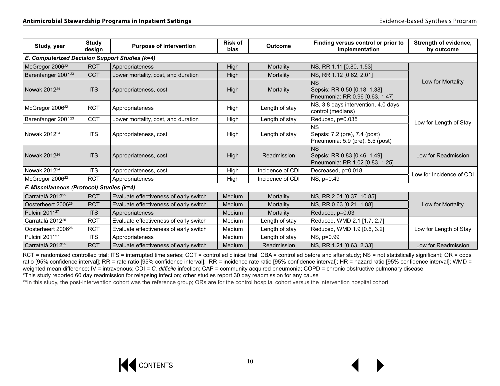| Study, year                                    | <b>Study</b><br>design | <b>Purpose of intervention</b>         | <b>Risk of</b><br>bias | <b>Outcome</b>   | Finding versus control or prior to<br>implementation                           | Strength of evidence,<br>by outcome |  |
|------------------------------------------------|------------------------|----------------------------------------|------------------------|------------------|--------------------------------------------------------------------------------|-------------------------------------|--|
| E. Computerized Decision Support Studies (k=4) |                        |                                        |                        |                  |                                                                                |                                     |  |
| McGregor 2006 <sup>22</sup>                    | <b>RCT</b>             | Appropriateness                        | High                   | Mortality        | NS, RR 1.11 [0.80, 1.53]                                                       |                                     |  |
| Barenfanger 2001 <sup>23</sup>                 | <b>CCT</b>             | Lower mortality, cost, and duration    | High                   | Mortality        | NS, RR 1.12 [0.62, 2.01]                                                       |                                     |  |
| Nowak 2012 <sup>24</sup>                       | <b>ITS</b>             | Appropriateness, cost                  | <b>High</b>            | Mortality        | <b>NS</b><br>Sepsis: RR 0.50 [0.18, 1.38]<br>Pneumonia: RR 0.96 [0.63, 1.47]   | Low for Mortality                   |  |
| McGregor 2006 <sup>22</sup>                    | <b>RCT</b>             | Appropriateness                        | High                   | Length of stay   | NS, 3.8 days intervention, 4.0 days<br>control (medians)                       |                                     |  |
| Barenfanger 2001 <sup>23</sup>                 | CCT                    | Lower mortality, cost, and duration    | High                   | Length of stay   | Reduced, p=0.035                                                               | Low for Length of Stay              |  |
| Nowak 2012 <sup>24</sup>                       | <b>ITS</b>             | Appropriateness, cost                  | High                   | Length of stay   | <b>NS</b><br>Sepsis: 7.2 (pre), 7.4 (post)<br>Pneumonia: 5.9 (pre), 5.5 (post) |                                     |  |
| Nowak 2012 <sup>24</sup>                       | <b>ITS</b>             | Appropriateness, cost                  | High                   | Readmission      | <b>NS</b><br>Sepsis: RR 0.83 [0.46, 1.49]<br>Pneumonia: RR 1.02 [0.83, 1.25]   | Low for Readmission                 |  |
| Nowak 2012 <sup>24</sup>                       | <b>ITS</b>             | Appropriateness, cost                  | High                   | Incidence of CDI | Decreased, p=0.018                                                             |                                     |  |
| McGregor 2006 <sup>22</sup>                    | <b>RCT</b>             | Appropriateness                        | High                   | Incidence of CDI | NS, p=0.49                                                                     | Low for Incidence of CDI            |  |
| F. Miscellaneous (Protocol) Studies (k=4)      |                        |                                        |                        |                  |                                                                                |                                     |  |
| Carratalà 2012 <sup>25</sup>                   | <b>RCT</b>             | Evaluate effectiveness of early switch | Medium                 | Mortality        | NS, RR 2.01 [0.37, 10.85]                                                      |                                     |  |
| Oosterheert 2006 <sup>26</sup>                 | <b>RCT</b>             | Evaluate effectiveness of early switch | Medium                 | Mortality        | NS, RR 0.63 [0.21, 1.88]                                                       | Low for Mortality                   |  |
| Pulcini 2011 <sup>27</sup>                     | <b>ITS</b>             | Appropriateness                        | Medium                 | Mortality        | Reduced, p=0.03                                                                |                                     |  |
| Carratalà 2012 <sup>25</sup>                   | <b>RCT</b>             | Evaluate effectiveness of early switch | Medium                 | Length of stay   | Reduced, WMD 2.1 [1.7, 2.7]                                                    |                                     |  |
| Oosterheert 2006 <sup>26</sup>                 | <b>RCT</b>             | Evaluate effectiveness of early switch | Medium                 | Length of stay   | Reduced, WMD 1.9 [0.6, 3.2]                                                    | Low for Length of Stay              |  |
| Pulcini 2011 <sup>27</sup>                     | <b>ITS</b>             | Appropriateness                        | Medium                 | Length of stay   | NS, p=0.99                                                                     |                                     |  |
| Carratalà 2012 <sup>25</sup>                   | <b>RCT</b>             | Evaluate effectiveness of early switch | Medium                 | Readmission      | NS, RR 1.21 [0.63, 2.33]                                                       | Low for Readmission                 |  |

RCT = randomized controlled trial; ITS = interrupted time series; CCT = controlled clinical trial; CBA = controlled before and after study; NS = not statistically significant; OR = odds ratio [95% confidence interval]; RR = rate ratio [95% confidence interval]; IRR = incidence rate ratio [95% confidence interval]; HR = hazard ratio [95% confidence interval]; WMD = weighted mean difference; IV = intravenous; CDI = *C. difficile* infection; CAP = community acquired pneumonia; COPD = chronic obstructive pulmonary disease

\*This study reported 60 day readmission for relapsing infection; other studies report 30 day readmission for any cause

\*\*In this study, the post-intervention cohort was the reference group; ORs are for the control hospital cohort versus the intervention hospital cohort

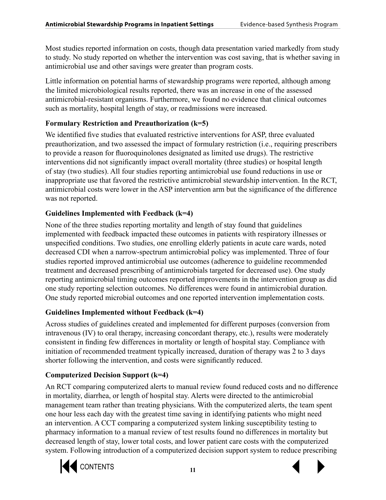Most studies reported information on costs, though data presentation varied markedly from study to study. No study reported on whether the intervention was cost saving, that is whether saving in antimicrobial use and other savings were greater than program costs.

Little information on potential harms of stewardship programs were reported, although among the limited microbiological results reported, there was an increase in one of the assessed antimicrobial-resistant organisms. Furthermore, we found no evidence that clinical outcomes such as mortality, hospital length of stay, or readmissions were increased.

#### **Formulary Restriction and Preauthorization (k=5)**

We identified five studies that evaluated restrictive interventions for ASP, three evaluated preauthorization, and two assessed the impact of formulary restriction (i.e., requiring prescribers to provide a reason for fluoroquinolones designated as limited use drugs). The restrictive interventions did not significantly impact overall mortality (three studies) or hospital length of stay (two studies). All four studies reporting antimicrobial use found reductions in use or inappropriate use that favored the restrictive antimicrobial stewardship intervention. In the RCT, antimicrobial costs were lower in the ASP intervention arm but the significance of the difference was not reported.

### **Guidelines Implemented with Feedback (k=4)**

None of the three studies reporting mortality and length of stay found that guidelines implemented with feedback impacted these outcomes in patients with respiratory illnesses or unspecified conditions. Two studies, one enrolling elderly patients in acute care wards, noted decreased CDI when a narrow-spectrum antimicrobial policy was implemented. Three of four studies reported improved antimicrobial use outcomes (adherence to guideline recommended treatment and decreased prescribing of antimicrobials targeted for decreased use). One study reporting antimicrobial timing outcomes reported improvements in the intervention group as did one study reporting selection outcomes. No differences were found in antimicrobial duration. One study reported microbial outcomes and one reported intervention implementation costs.

# **Guidelines Implemented without Feedback (k=4)**

Across studies of guidelines created and implemented for different purposes (conversion from intravenous (IV) to oral therapy, increasing concordant therapy, etc.), results were moderately consistent in finding few differences in mortality or length of hospital stay. Compliance with initiation of recommended treatment typically increased, duration of therapy was 2 to 3 days shorter following the intervention, and costs were significantly reduced.

# **Computerized Decision Support (k=4)**

An RCT comparing computerized alerts to manual review found reduced costs and no difference in mortality, diarrhea, or length of hospital stay. Alerts were directed to the antimicrobial management team rather than treating physicians. With the computerized alerts, the team spent one hour less each day with the greatest time saving in identifying patients who might need an intervention. A CCT comparing a computerized system linking susceptibility testing to pharmacy information to a manual review of test results found no differences in mortality but decreased length of stay, lower total costs, and lower patient care costs with the computerized system. Following introduction of a computerized decision support system to reduce prescribing



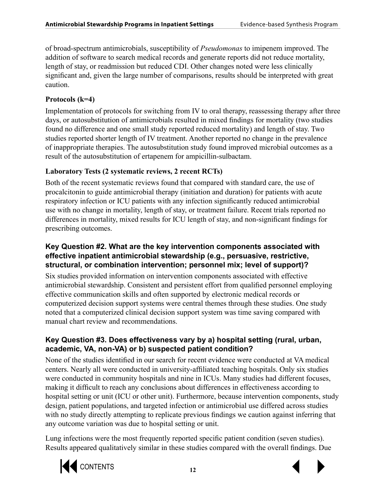of broad-spectrum antimicrobials, susceptibility of *Pseudomonas* to imipenem improved. The addition of software to search medical records and generate reports did not reduce mortality, length of stay, or readmission but reduced CDI. Other changes noted were less clinically significant and, given the large number of comparisons, results should be interpreted with great caution.

## **Protocols (k=4)**

Implementation of protocols for switching from IV to oral therapy, reassessing therapy after three days, or autosubstitution of antimicrobials resulted in mixed findings for mortality (two studies found no difference and one small study reported reduced mortality) and length of stay. Two studies reported shorter length of IV treatment. Another reported no change in the prevalence of inappropriate therapies. The autosubstitution study found improved microbial outcomes as a result of the autosubstitution of ertapenem for ampicillin-sulbactam.

### **Laboratory Tests (2 systematic reviews, 2 recent RCTs)**

Both of the recent systematic reviews found that compared with standard care, the use of procalcitonin to guide antimicrobial therapy (initiation and duration) for patients with acute respiratory infection or ICU patients with any infection significantly reduced antimicrobial use with no change in mortality, length of stay, or treatment failure. Recent trials reported no differences in mortality, mixed results for ICU length of stay, and non-significant findings for prescribing outcomes.

#### **Key Question #2. What are the key intervention components associated with effective inpatient antimicrobial stewardship (e.g., persuasive, restrictive, structural, or combination intervention; personnel mix; level of support)?**

Six studies provided information on intervention components associated with effective antimicrobial stewardship. Consistent and persistent effort from qualified personnel employing effective communication skills and often supported by electronic medical records or computerized decision support systems were central themes through these studies. One study noted that a computerized clinical decision support system was time saving compared with manual chart review and recommendations.

# **Key Question #3. Does effectiveness vary by a) hospital setting (rural, urban, academic, VA, non-VA) or b) suspected patient condition?**

None of the studies identified in our search for recent evidence were conducted at VA medical centers. Nearly all were conducted in university-affiliated teaching hospitals. Only six studies were conducted in community hospitals and nine in ICUs. Many studies had different focuses, making it difficult to reach any conclusions about differences in effectiveness according to hospital setting or unit (ICU or other unit). Furthermore, because intervention components, study design, patient populations, and targeted infection or antimicrobial use differed across studies with no study directly attempting to replicate previous findings we caution against inferring that any outcome variation was due to hospital setting or unit.

Lung infections were the most frequently reported specific patient condition (seven studies). Results appeared qualitatively similar in these studies compared with the overall findings. Due



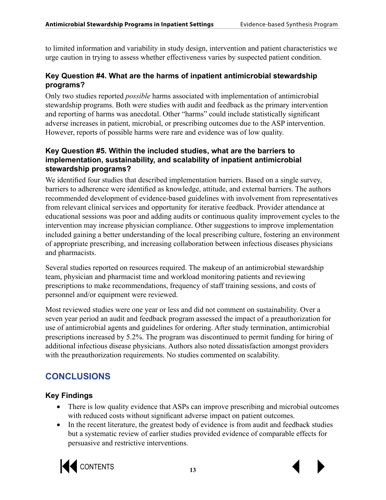to limited information and variability in study design, intervention and patient characteristics we urge caution in trying to assess whether effectiveness varies by suspected patient condition.

# **Key Question #4. What are the harms of inpatient antimicrobial stewardship programs?**

Only two studies reported *possible* harms associated with implementation of antimicrobial stewardship programs. Both were studies with audit and feedback as the primary intervention and reporting of harms was anecdotal. Other "harms" could include statistically significant adverse increases in patient, microbial, or prescribing outcomes due to the ASP intervention. However, reports of possible harms were rare and evidence was of low quality.

#### **Key Question #5. Within the included studies, what are the barriers to implementation, sustainability, and scalability of inpatient antimicrobial stewardship programs?**

We identified four studies that described implementation barriers. Based on a single survey, barriers to adherence were identified as knowledge, attitude, and external barriers. The authors recommended development of evidence-based guidelines with involvement from representatives from relevant clinical services and opportunity for iterative feedback. Provider attendance at educational sessions was poor and adding audits or continuous quality improvement cycles to the intervention may increase physician compliance. Other suggestions to improve implementation included gaining a better understanding of the local prescribing culture, fostering an environment of appropriate prescribing, and increasing collaboration between infectious diseases physicians and pharmacists.

Several studies reported on resources required. The makeup of an antimicrobial stewardship team, physician and pharmacist time and workload monitoring patients and reviewing prescriptions to make recommendations, frequency of staff training sessions, and costs of personnel and/or equipment were reviewed.

Most reviewed studies were one year or less and did not comment on sustainability. Over a seven year period an audit and feedback program assessed the impact of a preauthorization for use of antimicrobial agents and guidelines for ordering. After study termination, antimicrobial prescriptions increased by 5.2%. The program was discontinued to permit funding for hiring of additional infectious disease physicians. Authors also noted dissatisfaction amongst providers with the preauthorization requirements. No studies commented on scalability.

# **CONCLUSIONS**

# **Key Findings**

- There is low quality evidence that ASPs can improve prescribing and microbial outcomes with reduced costs without significant adverse impact on patient outcomes.
- In the recent literature, the greatest body of evidence is from audit and feedback studies but a systematic review of earlier studies provided evidence of comparable effects for persuasive and restrictive interventions.



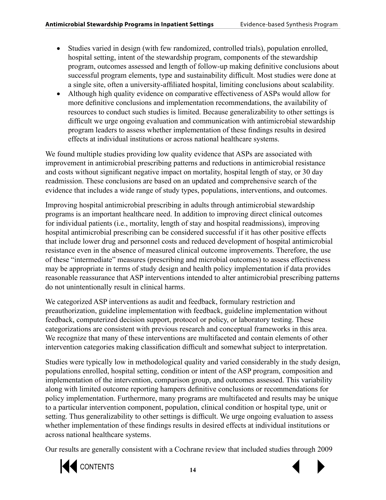- Studies varied in design (with few randomized, controlled trials), population enrolled, hospital setting, intent of the stewardship program, components of the stewardship program, outcomes assessed and length of follow-up making definitive conclusions about successful program elements, type and sustainability difficult. Most studies were done at a single site, often a university-affiliated hospital, limiting conclusions about scalability.
- Although high quality evidence on comparative effectiveness of ASPs would allow for more definitive conclusions and implementation recommendations, the availability of resources to conduct such studies is limited. Because generalizability to other settings is difficult we urge ongoing evaluation and communication with antimicrobial stewardship program leaders to assess whether implementation of these findings results in desired effects at individual institutions or across national healthcare systems.

We found multiple studies providing low quality evidence that ASPs are associated with improvement in antimicrobial prescribing patterns and reductions in antimicrobial resistance and costs without significant negative impact on mortality, hospital length of stay, or 30 day readmission. These conclusions are based on an updated and comprehensive search of the evidence that includes a wide range of study types, populations, interventions, and outcomes.

Improving hospital antimicrobial prescribing in adults through antimicrobial stewardship programs is an important healthcare need. In addition to improving direct clinical outcomes for individual patients (i.e., mortality, length of stay and hospital readmissions), improving hospital antimicrobial prescribing can be considered successful if it has other positive effects that include lower drug and personnel costs and reduced development of hospital antimicrobial resistance even in the absence of measured clinical outcome improvements. Therefore, the use of these "intermediate" measures (prescribing and microbial outcomes) to assess effectiveness may be appropriate in terms of study design and health policy implementation if data provides reasonable reassurance that ASP interventions intended to alter antimicrobial prescribing patterns do not unintentionally result in clinical harms.

We categorized ASP interventions as audit and feedback, formulary restriction and preauthorization, guideline implementation with feedback, guideline implementation without feedback, computerized decision support, protocol or policy, or laboratory testing. These categorizations are consistent with previous research and conceptual frameworks in this area. We recognize that many of these interventions are multifaceted and contain elements of other intervention categories making classification difficult and somewhat subject to interpretation.

Studies were typically low in methodological quality and varied considerably in the study design, populations enrolled, hospital setting, condition or intent of the ASP program, composition and implementation of the intervention, comparison group, and outcomes assessed. This variability along with limited outcome reporting hampers definitive conclusions or recommendations for policy implementation. Furthermore, many programs are multifaceted and results may be unique to a particular intervention component, population, clinical condition or hospital type, unit or setting. Thus generalizability to other settings is difficult. We urge ongoing evaluation to assess whether implementation of these findings results in desired effects at individual institutions or across national healthcare systems.

Our results are generally consistent with a Cochrane review that included studies through 2009



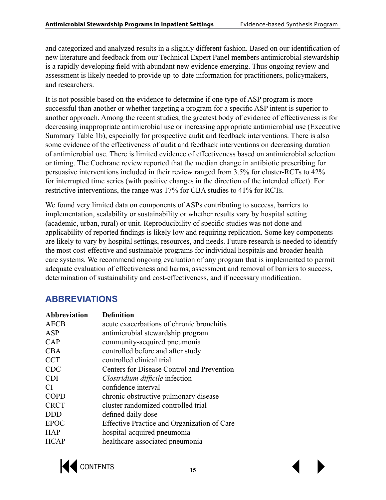and categorized and analyzed results in a slightly different fashion. Based on our identification of new literature and feedback from our Technical Expert Panel members antimicrobial stewardship is a rapidly developing field with abundant new evidence emerging. Thus ongoing review and assessment is likely needed to provide up-to-date information for practitioners, policymakers, and researchers.

It is not possible based on the evidence to determine if one type of ASP program is more successful than another or whether targeting a program for a specific ASP intent is superior to another approach. Among the recent studies, the greatest body of evidence of effectiveness is for decreasing inappropriate antimicrobial use or increasing appropriate antimicrobial use (Executive Summary Table 1b), especially for prospective audit and feedback interventions. There is also some evidence of the effectiveness of audit and feedback interventions on decreasing duration of antimicrobial use. There is limited evidence of effectiveness based on antimicrobial selection or timing. The Cochrane review reported that the median change in antibiotic prescribing for persuasive interventions included in their review ranged from 3.5% for cluster-RCTs to 42% for interrupted time series (with positive changes in the direction of the intended effect). For restrictive interventions, the range was 17% for CBA studies to 41% for RCTs.

We found very limited data on components of ASPs contributing to success, barriers to implementation, scalability or sustainability or whether results vary by hospital setting (academic, urban, rural) or unit. Reproducibility of specific studies was not done and applicability of reported findings is likely low and requiring replication. Some key components are likely to vary by hospital settings, resources, and needs. Future research is needed to identify the most cost-effective and sustainable programs for individual hospitals and broader health care systems. We recommend ongoing evaluation of any program that is implemented to permit adequate evaluation of effectiveness and harms, assessment and removal of barriers to success, determination of sustainability and cost-effectiveness, and if necessary modification.

# **ABBREVIATIONS**

| <b>Definition</b>                           |
|---------------------------------------------|
| acute exacerbations of chronic bronchitis   |
| antimicrobial stewardship program           |
| community-acquired pneumonia                |
| controlled before and after study           |
| controlled clinical trial                   |
| Centers for Disease Control and Prevention  |
| Clostridium difficile infection             |
| confidence interval                         |
| chronic obstructive pulmonary disease       |
| cluster randomized controlled trial         |
| defined daily dose                          |
| Effective Practice and Organization of Care |
| hospital-acquired pneumonia                 |
| healthcare-associated pneumonia             |
|                                             |